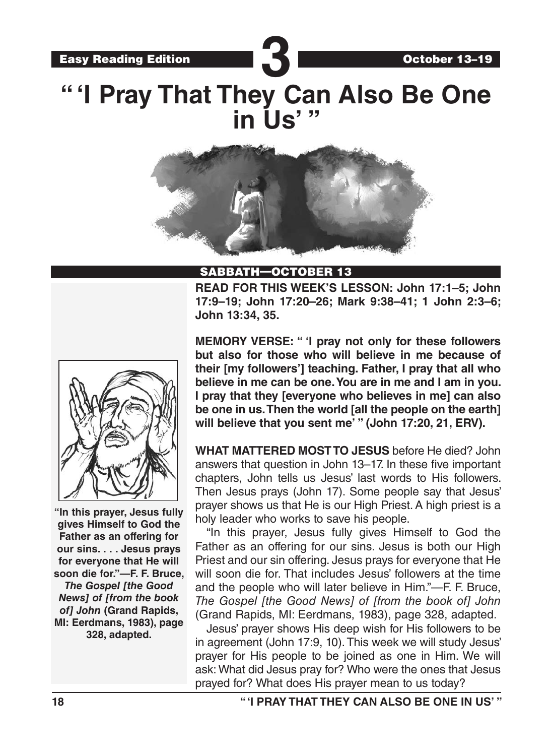Easy Reading Edition **3** 

# **" 'I Pray That They Can Also Be One in Us' "**



#### SABBATH—OCTOBER 13

**READ FOR THIS WEEK'S LESSON: John 17:1–5; John 17:9–19; John 17:20–26; Mark 9:38–41; 1 John 2:3–6; John 13:34, 35.**

October 13–19



**"In this prayer, Jesus fully gives Himself to God the Father as an offering for our sins. . . . Jesus prays for everyone that He will soon die for."—F. F. Bruce,** 

*The Gospel [the Good News] of [from the book of] John* **(Grand Rapids, MI: Eerdmans, 1983), page 328, adapted.** 

**MEMORY VERSE: " 'I pray not only for these followers but also for those who will believe in me because of their [my followers'] teaching. Father, I pray that all who believe in me can be one. You are in me and I am in you. I pray that they [everyone who believes in me] can also be one in us. Then the world [all the people on the earth] will believe that you sent me' " (John 17:20, 21, ERV).** 

**WHAT MATTERED MOST TO JESUS** before He died? John answers that question in John 13–17. In these five important chapters, John tells us Jesus' last words to His followers. Then Jesus prays (John 17). Some people say that Jesus' prayer shows us that He is our High Priest. A high priest is a holy leader who works to save his people.

"In this prayer, Jesus fully gives Himself to God the Father as an offering for our sins. Jesus is both our High Priest and our sin offering. Jesus prays for everyone that He will soon die for. That includes Jesus' followers at the time and the people who will later believe in Him."—F. F. Bruce, *The Gospel [the Good News] of [from the book of] John*  (Grand Rapids, MI: Eerdmans, 1983), page 328, adapted.

Jesus' prayer shows His deep wish for His followers to be in agreement (John 17:9, 10). This week we will study Jesus' prayer for His people to be joined as one in Him. We will ask: What did Jesus pray for? Who were the ones that Jesus prayed for? What does His prayer mean to us today?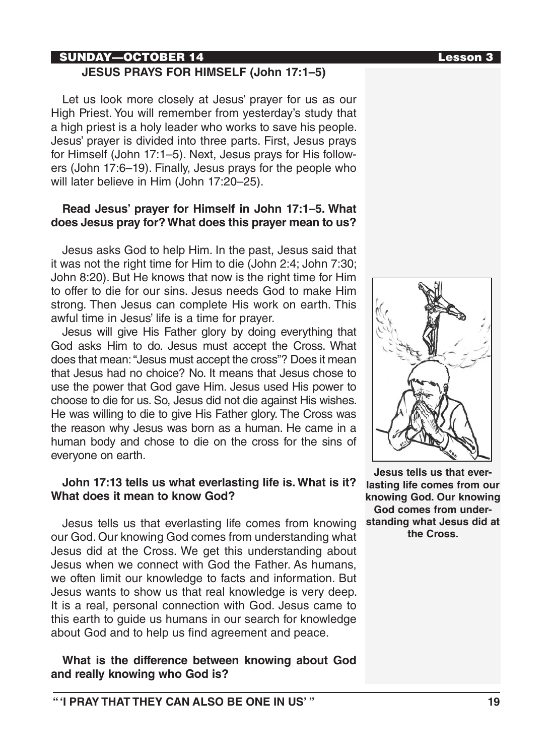# SUNDAY—OCTOBER 14 Lesson 3

#### **JESUS PRAYS FOR HIMSELF (John 17:1–5)**

Let us look more closely at Jesus' prayer for us as our High Priest. You will remember from yesterday's study that a high priest is a holy leader who works to save his people. Jesus' prayer is divided into three parts. First, Jesus prays for Himself (John 17:1–5). Next, Jesus prays for His followers (John 17:6–19). Finally, Jesus prays for the people who will later believe in Him (John 17:20–25).

#### **Read Jesus' prayer for Himself in John 17:1–5. What does Jesus pray for? What does this prayer mean to us?**

Jesus asks God to help Him. In the past, Jesus said that it was not the right time for Him to die (John 2:4; John 7:30; John 8:20). But He knows that now is the right time for Him to offer to die for our sins. Jesus needs God to make Him strong. Then Jesus can complete His work on earth. This awful time in Jesus' life is a time for prayer.

Jesus will give His Father glory by doing everything that God asks Him to do. Jesus must accept the Cross. What does that mean: "Jesus must accept the cross"? Does it mean that Jesus had no choice? No. It means that Jesus chose to use the power that God gave Him. Jesus used His power to choose to die for us. So, Jesus did not die against His wishes. He was willing to die to give His Father glory. The Cross was the reason why Jesus was born as a human. He came in a human body and chose to die on the cross for the sins of everyone on earth.

#### **John 17:13 tells us what everlasting life is. What is it? What does it mean to know God?**

Jesus tells us that everlasting life comes from knowing our God. Our knowing God comes from understanding what Jesus did at the Cross. We get this understanding about Jesus when we connect with God the Father. As humans, we often limit our knowledge to facts and information. But Jesus wants to show us that real knowledge is very deep. It is a real, personal connection with God. Jesus came to this earth to guide us humans in our search for knowledge about God and to help us find agreement and peace.

# **What is the difference between knowing about God and really knowing who God is?**



**Jesus tells us that everlasting life comes from our knowing God. Our knowing God comes from understanding what Jesus did at the Cross.**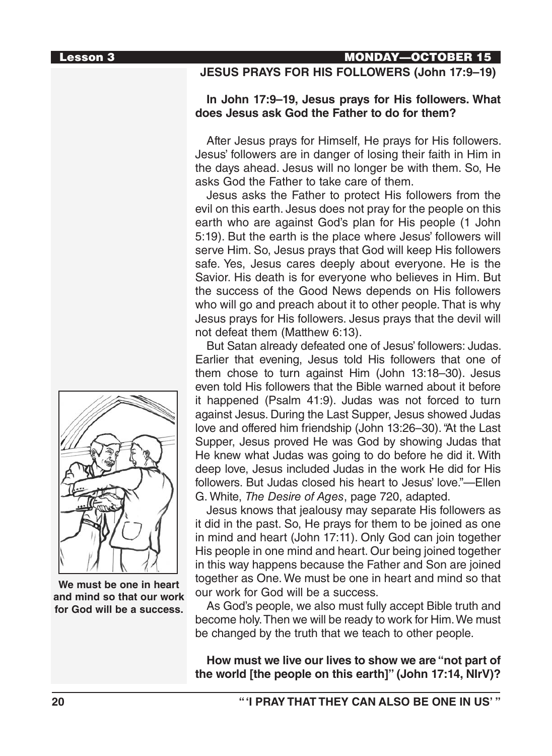# Lesson 3 MONDAY—OCTOBER 15

# **JESUS PRAYS FOR HIS FOLLOWERS (John 17:9–19)**

#### **In John 17:9–19, Jesus prays for His followers. What does Jesus ask God the Father to do for them?**

After Jesus prays for Himself, He prays for His followers. Jesus' followers are in danger of losing their faith in Him in the days ahead. Jesus will no longer be with them. So, He asks God the Father to take care of them.

Jesus asks the Father to protect His followers from the evil on this earth. Jesus does not pray for the people on this earth who are against God's plan for His people (1 John 5:19). But the earth is the place where Jesus' followers will serve Him. So, Jesus prays that God will keep His followers safe. Yes, Jesus cares deeply about everyone. He is the Savior. His death is for everyone who believes in Him. But the success of the Good News depends on His followers who will go and preach about it to other people. That is why Jesus prays for His followers. Jesus prays that the devil will not defeat them (Matthew 6:13).

But Satan already defeated one of Jesus' followers: Judas. Earlier that evening, Jesus told His followers that one of them chose to turn against Him (John 13:18–30). Jesus even told His followers that the Bible warned about it before it happened (Psalm 41:9). Judas was not forced to turn against Jesus. During the Last Supper, Jesus showed Judas love and offered him friendship (John 13:26–30). "At the Last Supper, Jesus proved He was God by showing Judas that He knew what Judas was going to do before he did it. With deep love, Jesus included Judas in the work He did for His followers. But Judas closed his heart to Jesus' love."—Ellen G. White, *The Desire of Ages*, page 720, adapted.

Jesus knows that jealousy may separate His followers as it did in the past. So, He prays for them to be joined as one in mind and heart (John 17:11). Only God can join together His people in one mind and heart. Our being joined together in this way happens because the Father and Son are joined together as One. We must be one in heart and mind so that our work for God will be a success.

As God's people, we also must fully accept Bible truth and become holy. Then we will be ready to work for Him. We must be changed by the truth that we teach to other people.

**How must we live our lives to show we are "not part of the world [the people on this earth]" (John 17:14, NIrV)?**



**We must be one in heart and mind so that our work for God will be a success.**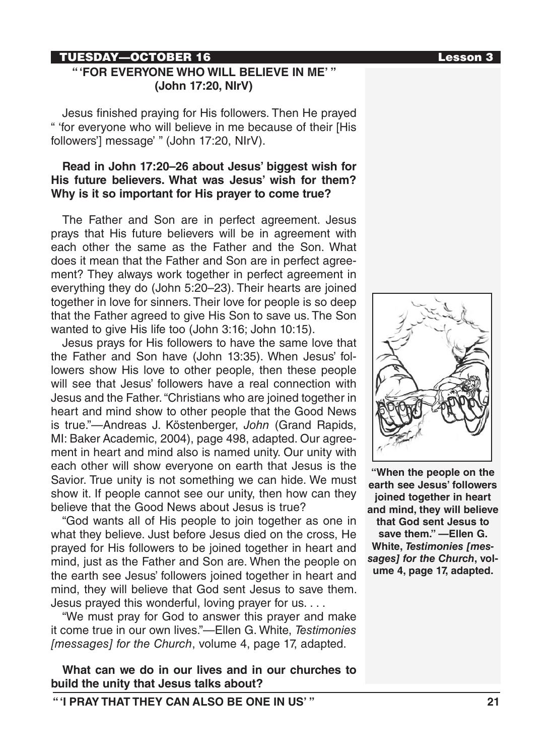# TUESDAY—OCTOBER 16 Lesson 3

# **" 'FOR EVERYONE WHO WILL BELIEVE IN ME' " (John 17:20, NIrV)**

Jesus finished praying for His followers. Then He prayed " 'for everyone who will believe in me because of their [His followers'] message' " (John 17:20, NIrV).

# **Read in John 17:20–26 about Jesus' biggest wish for His future believers. What was Jesus' wish for them? Why is it so important for His prayer to come true?**

The Father and Son are in perfect agreement. Jesus prays that His future believers will be in agreement with each other the same as the Father and the Son. What does it mean that the Father and Son are in perfect agreement? They always work together in perfect agreement in everything they do (John 5:20–23). Their hearts are joined together in love for sinners. Their love for people is so deep that the Father agreed to give His Son to save us. The Son wanted to give His life too (John 3:16; John 10:15).

Jesus prays for His followers to have the same love that the Father and Son have (John 13:35). When Jesus' followers show His love to other people, then these people will see that Jesus' followers have a real connection with Jesus and the Father. "Christians who are joined together in heart and mind show to other people that the Good News is true."—Andreas J. Köstenberger, *John* (Grand Rapids, MI: Baker Academic, 2004), page 498, adapted. Our agreement in heart and mind also is named unity. Our unity with each other will show everyone on earth that Jesus is the Savior. True unity is not something we can hide. We must show it. If people cannot see our unity, then how can they believe that the Good News about Jesus is true?

"God wants all of His people to join together as one in what they believe. Just before Jesus died on the cross, He prayed for His followers to be joined together in heart and mind, just as the Father and Son are. When the people on the earth see Jesus' followers joined together in heart and mind, they will believe that God sent Jesus to save them. Jesus prayed this wonderful, loving prayer for us. . . .

"We must pray for God to answer this prayer and make it come true in our own lives."—Ellen G. White, *Testimonies [messages] for the Church*, volume 4, page 17, adapted.

**What can we do in our lives and in our churches to build the unity that Jesus talks about?**



**"When the people on the earth see Jesus' followers joined together in heart and mind, they will believe that God sent Jesus to save them." —Ellen G. White,** *Testimonies [messages] for the Church***, volume 4, page 17, adapted.** 

**" 'I PRAY THAT THEY CAN ALSO BE ONE IN US' " 21**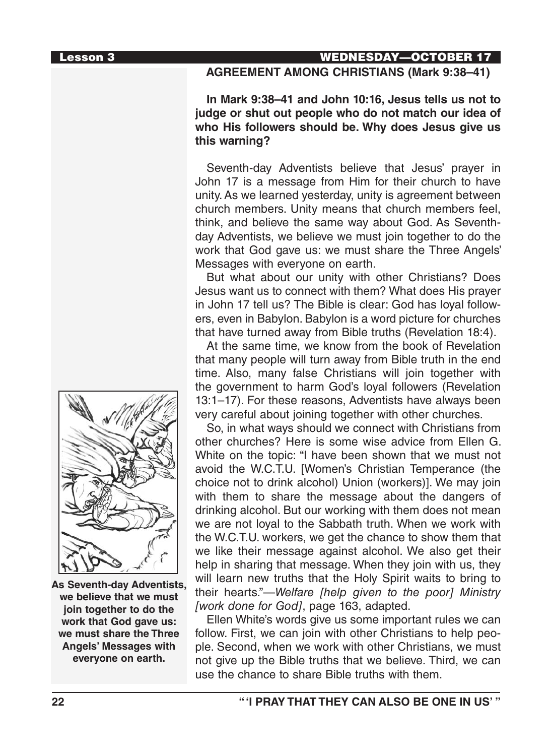Lesson 3 WEDNESDAY—OCTOBER 17

#### **AGREEMENT AMONG CHRISTIANS (Mark 9:38–41)**

**In Mark 9:38–41 and John 10:16, Jesus tells us not to judge or shut out people who do not match our idea of who His followers should be. Why does Jesus give us this warning?**

Seventh-day Adventists believe that Jesus' prayer in John 17 is a message from Him for their church to have unity. As we learned yesterday, unity is agreement between church members. Unity means that church members feel, think, and believe the same way about God. As Seventhday Adventists, we believe we must join together to do the work that God gave us: we must share the Three Angels' Messages with everyone on earth.

But what about our unity with other Christians? Does Jesus want us to connect with them? What does His prayer in John 17 tell us? The Bible is clear: God has loyal followers, even in Babylon. Babylon is a word picture for churches that have turned away from Bible truths (Revelation 18:4).

At the same time, we know from the book of Revelation that many people will turn away from Bible truth in the end time. Also, many false Christians will join together with the government to harm God's loyal followers (Revelation 13:1–17). For these reasons, Adventists have always been very careful about joining together with other churches.

So, in what ways should we connect with Christians from other churches? Here is some wise advice from Ellen G. White on the topic: "I have been shown that we must not avoid the W.C.T.U. [Women's Christian Temperance (the choice not to drink alcohol) Union (workers)]. We may join with them to share the message about the dangers of drinking alcohol. But our working with them does not mean we are not loyal to the Sabbath truth. When we work with the W.C.T.U. workers, we get the chance to show them that we like their message against alcohol. We also get their help in sharing that message. When they join with us, they will learn new truths that the Holy Spirit waits to bring to their hearts."—*Welfare [help given to the poor] Ministry [work done for God]*, page 163, adapted.

Ellen White's words give us some important rules we can follow. First, we can join with other Christians to help people. Second, when we work with other Christians, we must not give up the Bible truths that we believe. Third, we can use the chance to share Bible truths with them.



**As Seventh-day Adventists, we believe that we must join together to do the work that God gave us: we must share the Three Angels' Messages with everyone on earth.**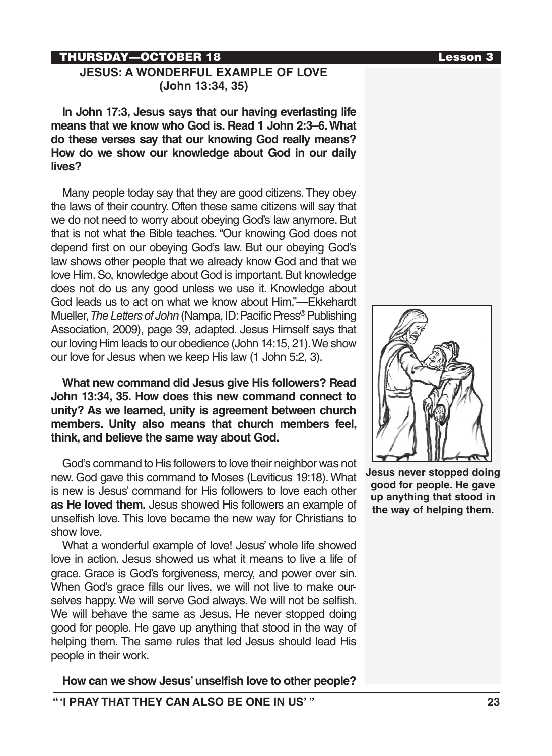# THURSDAY—OCTOBER 18 Lesson 3

#### **JESUS: A WONDERFUL EXAMPLE OF LOVE (John 13:34, 35)**

**In John 17:3, Jesus says that our having everlasting life means that we know who God is. Read 1 John 2:3–6. What do these verses say that our knowing God really means? How do we show our knowledge about God in our daily lives?**

Many people today say that they are good citizens. They obey the laws of their country. Often these same citizens will say that we do not need to worry about obeying God's law anymore. But that is not what the Bible teaches. "Our knowing God does not depend first on our obeying God's law. But our obeying God's law shows other people that we already know God and that we love Him. So, knowledge about God is important. But knowledge does not do us any good unless we use it. Knowledge about God leads us to act on what we know about Him."—Ekkehardt Mueller, *The Letters of John* (Nampa, ID: Pacific Press® Publishing Association, 2009), page 39, adapted. Jesus Himself says that our loving Him leads to our obedience (John 14:15, 21). We show our love for Jesus when we keep His law (1 John 5:2, 3).

**What new command did Jesus give His followers? Read John 13:34, 35. How does this new command connect to unity? As we learned, unity is agreement between church members. Unity also means that church members feel, think, and believe the same way about God.**

God's command to His followers to love their neighbor was not new. God gave this command to Moses (Leviticus 19:18). What is new is Jesus' command for His followers to love each other **as He loved them.** Jesus showed His followers an example of unselfish love. This love became the new way for Christians to show love.

What a wonderful example of love! Jesus' whole life showed love in action. Jesus showed us what it means to live a life of grace. Grace is God's forgiveness, mercy, and power over sin. When God's grace fills our lives, we will not live to make ourselves happy. We will serve God always. We will not be selfish. We will behave the same as Jesus. He never stopped doing good for people. He gave up anything that stood in the way of helping them. The same rules that led Jesus should lead His people in their work.

**How can we show Jesus' unselfish love to other people?**



**Jesus never stopped doing good for people. He gave up anything that stood in the way of helping them.**